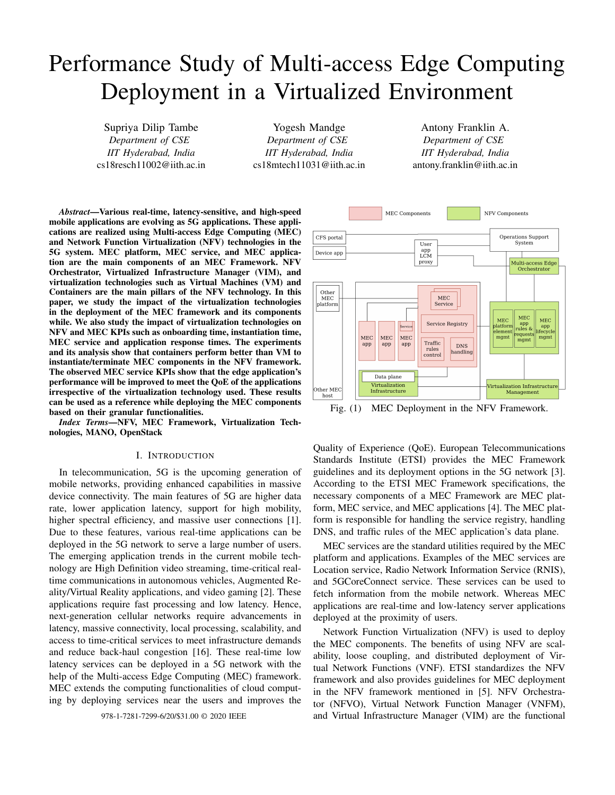# Performance Study of Multi-access Edge Computing Deployment in a Virtualized Environment

Supriya Dilip Tambe *Department of CSE IIT Hyderabad, India* cs18resch11002@iith.ac.in

Yogesh Mandge *Department of CSE IIT Hyderabad, India* cs18mtech11031@iith.ac.in

Antony Franklin A. *Department of CSE IIT Hyderabad, India* antony.franklin@iith.ac.in

*Abstract*—Various real-time, latency-sensitive, and high-speed mobile applications are evolving as 5G applications. These applications are realized using Multi-access Edge Computing (MEC) and Network Function Virtualization (NFV) technologies in the 5G system. MEC platform, MEC service, and MEC application are the main components of an MEC Framework. NFV Orchestrator, Virtualized Infrastructure Manager (VIM), and virtualization technologies such as Virtual Machines (VM) and Containers are the main pillars of the NFV technology. In this paper, we study the impact of the virtualization technologies in the deployment of the MEC framework and its components while. We also study the impact of virtualization technologies on NFV and MEC KPIs such as onboarding time, instantiation time, MEC service and application response times. The experiments and its analysis show that containers perform better than VM to instantiate/terminate MEC components in the NFV framework. The observed MEC service KPIs show that the edge application's performance will be improved to meet the QoE of the applications irrespective of the virtualization technology used. These results can be used as a reference while deploying the MEC components based on their granular functionalities.

*Index Terms*—NFV, MEC Framework, Virtualization Technologies, MANO, OpenStack

## I. INTRODUCTION

In telecommunication, 5G is the upcoming generation of mobile networks, providing enhanced capabilities in massive device connectivity. The main features of 5G are higher data rate, lower application latency, support for high mobility, higher spectral efficiency, and massive user connections [1]. Due to these features, various real-time applications can be deployed in the 5G network to serve a large number of users. The emerging application trends in the current mobile technology are High Definition video streaming, time-critical realtime communications in autonomous vehicles, Augmented Reality/Virtual Reality applications, and video gaming [2]. These applications require fast processing and low latency. Hence, next-generation cellular networks require advancements in latency, massive connectivity, local processing, scalability, and access to time-critical services to meet infrastructure demands and reduce back-haul congestion [16]. These real-time low latency services can be deployed in a 5G network with the help of the Multi-access Edge Computing (MEC) framework. MEC extends the computing functionalities of cloud computing by deploying services near the users and improves the



Fig. (1) MEC Deployment in the NFV Framework.

Quality of Experience (QoE). European Telecommunications Standards Institute (ETSI) provides the MEC Framework guidelines and its deployment options in the 5G network [3]. According to the ETSI MEC Framework specifications, the necessary components of a MEC Framework are MEC platform, MEC service, and MEC applications [4]. The MEC platform is responsible for handling the service registry, handling DNS, and traffic rules of the MEC application's data plane.

MEC services are the standard utilities required by the MEC platform and applications. Examples of the MEC services are Location service, Radio Network Information Service (RNIS), and 5GCoreConnect service. These services can be used to fetch information from the mobile network. Whereas MEC applications are real-time and low-latency server applications deployed at the proximity of users.

Network Function Virtualization (NFV) is used to deploy the MEC components. The benefits of using NFV are scalability, loose coupling, and distributed deployment of Virtual Network Functions (VNF). ETSI standardizes the NFV framework and also provides guidelines for MEC deployment in the NFV framework mentioned in [5]. NFV Orchestrator (NFVO), Virtual Network Function Manager (VNFM), 978-1-7281-7299-6/20/\$31.00 © 2020 IEEE and Virtual Infrastructure Manager (VIM) are the functional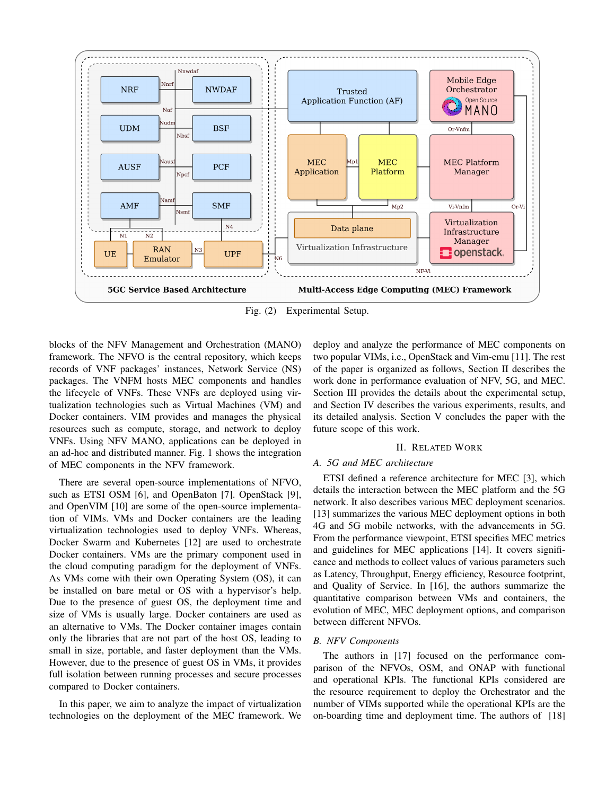

Fig. (2) Experimental Setup.

blocks of the NFV Management and Orchestration (MANO) framework. The NFVO is the central repository, which keeps records of VNF packages' instances, Network Service (NS) packages. The VNFM hosts MEC components and handles the lifecycle of VNFs. These VNFs are deployed using virtualization technologies such as Virtual Machines (VM) and Docker containers. VIM provides and manages the physical resources such as compute, storage, and network to deploy VNFs. Using NFV MANO, applications can be deployed in an ad-hoc and distributed manner. Fig. 1 shows the integration of MEC components in the NFV framework.

There are several open-source implementations of NFVO, such as ETSI OSM [6], and OpenBaton [7]. OpenStack [9], and OpenVIM [10] are some of the open-source implementation of VIMs. VMs and Docker containers are the leading virtualization technologies used to deploy VNFs. Whereas, Docker Swarm and Kubernetes [12] are used to orchestrate Docker containers. VMs are the primary component used in the cloud computing paradigm for the deployment of VNFs. As VMs come with their own Operating System (OS), it can be installed on bare metal or OS with a hypervisor's help. Due to the presence of guest OS, the deployment time and size of VMs is usually large. Docker containers are used as an alternative to VMs. The Docker container images contain only the libraries that are not part of the host OS, leading to small in size, portable, and faster deployment than the VMs. However, due to the presence of guest OS in VMs, it provides full isolation between running processes and secure processes compared to Docker containers.

In this paper, we aim to analyze the impact of virtualization technologies on the deployment of the MEC framework. We deploy and analyze the performance of MEC components on two popular VIMs, i.e., OpenStack and Vim-emu [11]. The rest of the paper is organized as follows, Section II describes the work done in performance evaluation of NFV, 5G, and MEC. Section III provides the details about the experimental setup, and Section IV describes the various experiments, results, and its detailed analysis. Section V concludes the paper with the future scope of this work.

# II. RELATED WORK

# *A. 5G and MEC architecture*

ETSI defined a reference architecture for MEC [3], which details the interaction between the MEC platform and the 5G network. It also describes various MEC deployment scenarios. [13] summarizes the various MEC deployment options in both 4G and 5G mobile networks, with the advancements in 5G. From the performance viewpoint, ETSI specifies MEC metrics and guidelines for MEC applications [14]. It covers significance and methods to collect values of various parameters such as Latency, Throughput, Energy efficiency, Resource footprint, and Quality of Service. In [16], the authors summarize the quantitative comparison between VMs and containers, the evolution of MEC, MEC deployment options, and comparison between different NFVOs.

## *B. NFV Components*

The authors in [17] focused on the performance comparison of the NFVOs, OSM, and ONAP with functional and operational KPIs. The functional KPIs considered are the resource requirement to deploy the Orchestrator and the number of VIMs supported while the operational KPIs are the on-boarding time and deployment time. The authors of [18]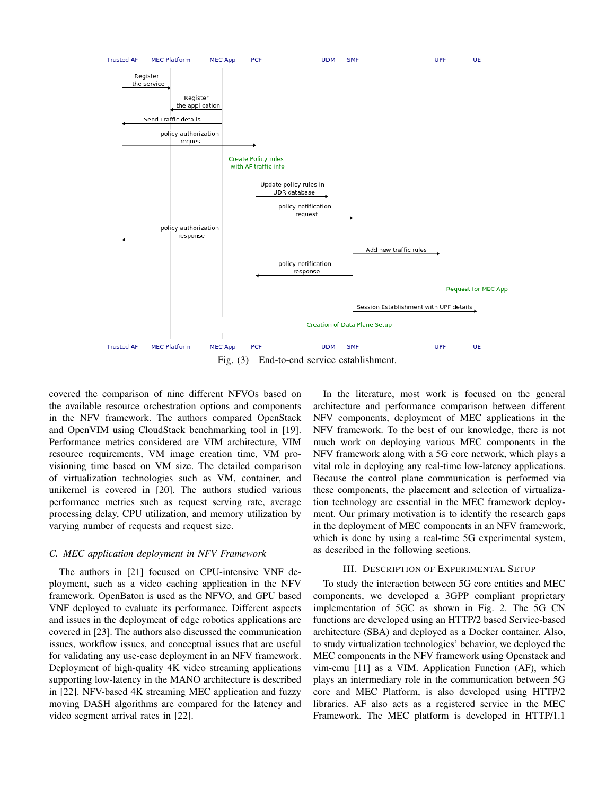

Fig. (3) End-to-end service establishment.

covered the comparison of nine different NFVOs based on the available resource orchestration options and components in the NFV framework. The authors compared OpenStack and OpenVIM using CloudStack benchmarking tool in [19]. Performance metrics considered are VIM architecture, VIM resource requirements, VM image creation time, VM provisioning time based on VM size. The detailed comparison of virtualization technologies such as VM, container, and unikernel is covered in [20]. The authors studied various performance metrics such as request serving rate, average processing delay, CPU utilization, and memory utilization by varying number of requests and request size.

#### *C. MEC application deployment in NFV Framework*

The authors in [21] focused on CPU-intensive VNF deployment, such as a video caching application in the NFV framework. OpenBaton is used as the NFVO, and GPU based VNF deployed to evaluate its performance. Different aspects and issues in the deployment of edge robotics applications are covered in [23]. The authors also discussed the communication issues, workflow issues, and conceptual issues that are useful for validating any use-case deployment in an NFV framework. Deployment of high-quality 4K video streaming applications supporting low-latency in the MANO architecture is described in [22]. NFV-based 4K streaming MEC application and fuzzy moving DASH algorithms are compared for the latency and video segment arrival rates in [22].

In the literature, most work is focused on the general architecture and performance comparison between different NFV components, deployment of MEC applications in the NFV framework. To the best of our knowledge, there is not much work on deploying various MEC components in the NFV framework along with a 5G core network, which plays a vital role in deploying any real-time low-latency applications. Because the control plane communication is performed via these components, the placement and selection of virtualization technology are essential in the MEC framework deployment. Our primary motivation is to identify the research gaps in the deployment of MEC components in an NFV framework, which is done by using a real-time 5G experimental system, as described in the following sections.

# III. DESCRIPTION OF EXPERIMENTAL SETUP

To study the interaction between 5G core entities and MEC components, we developed a 3GPP compliant proprietary implementation of 5GC as shown in Fig. 2. The 5G CN functions are developed using an HTTP/2 based Service-based architecture (SBA) and deployed as a Docker container. Also, to study virtualization technologies' behavior, we deployed the MEC components in the NFV framework using Openstack and vim-emu [11] as a VIM. Application Function (AF), which plays an intermediary role in the communication between 5G core and MEC Platform, is also developed using HTTP/2 libraries. AF also acts as a registered service in the MEC Framework. The MEC platform is developed in HTTP/1.1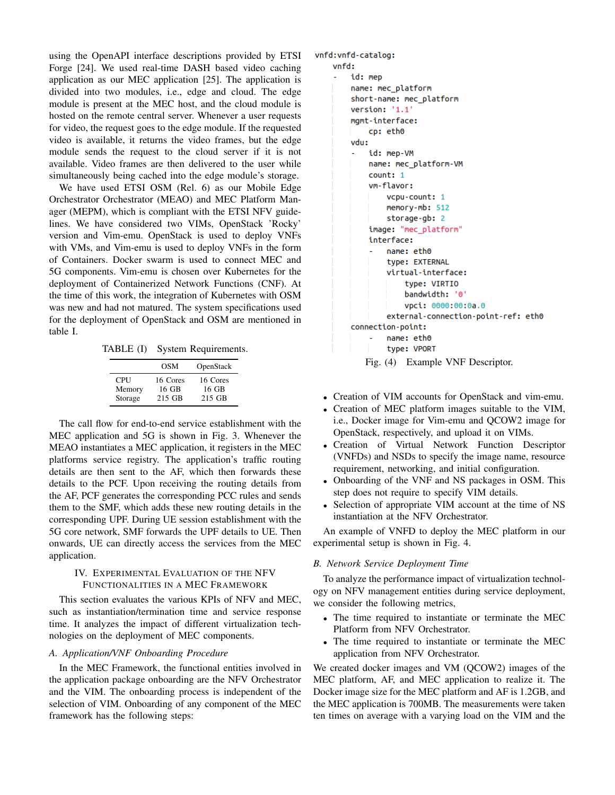using the OpenAPI interface descriptions provided by ETSI Forge [24]. We used real-time DASH based video caching application as our MEC application [25]. The application is divided into two modules, i.e., edge and cloud. The edge module is present at the MEC host, and the cloud module is hosted on the remote central server. Whenever a user requests for video, the request goes to the edge module. If the requested video is available, it returns the video frames, but the edge module sends the request to the cloud server if it is not available. Video frames are then delivered to the user while simultaneously being cached into the edge module's storage.

We have used ETSI OSM (Rel. 6) as our Mobile Edge Orchestrator Orchestrator (MEAO) and MEC Platform Manager (MEPM), which is compliant with the ETSI NFV guidelines. We have considered two VIMs, OpenStack 'Rocky' version and Vim-emu. OpenStack is used to deploy VNFs with VMs, and Vim-emu is used to deploy VNFs in the form of Containers. Docker swarm is used to connect MEC and 5G components. Vim-emu is chosen over Kubernetes for the deployment of Containerized Network Functions (CNF). At the time of this work, the integration of Kubernetes with OSM was new and had not matured. The system specifications used for the deployment of OpenStack and OSM are mentioned in table I.

TABLE (I) System Requirements.

|            | OSM      | OpenStack |
|------------|----------|-----------|
| <b>CPU</b> | 16 Cores | 16 Cores  |
| Memory     | 16 GB    | 16 GB     |
| Storage    | 215 GB   | 215 GB    |

The call flow for end-to-end service establishment with the MEC application and 5G is shown in Fig. 3. Whenever the MEAO instantiates a MEC application, it registers in the MEC platforms service registry. The application's traffic routing details are then sent to the AF, which then forwards these details to the PCF. Upon receiving the routing details from the AF, PCF generates the corresponding PCC rules and sends them to the SMF, which adds these new routing details in the corresponding UPF. During UE session establishment with the 5G core network, SMF forwards the UPF details to UE. Then onwards, UE can directly access the services from the MEC application.

# IV. EXPERIMENTAL EVALUATION OF THE NFV FUNCTIONALITIES IN A MEC FRAMEWORK

This section evaluates the various KPIs of NFV and MEC, such as instantiation/termination time and service response time. It analyzes the impact of different virtualization technologies on the deployment of MEC components.

# *A. Application/VNF Onboarding Procedure*

In the MEC Framework, the functional entities involved in the application package onboarding are the NFV Orchestrator and the VIM. The onboarding process is independent of the selection of VIM. Onboarding of any component of the MEC framework has the following steps:

#### vnfd: vnfd-catalog:

```
vnfd:
id: mep
name: mec_platform
short-name: mec_platform
version: '1.1'
mgmt-interface:
    cp: eth0
vdu:
    id: mep-VM
    name: mec_platform-VM
    count: 1
    vm-flavor:
        vcpu-count: 1
        memory-mb: 512
        storage-gb: 2
    image: "mec_platform"
    interface:
        name: eth0
        type: EXTERNAL
        virtual-interface:
            type: VIRTIO
            bandwidth: '0'
            vpci: 0000:00:0a.0
        external-connection-point-ref: eth0
connection-point:
        name: eth0
        type: VPORT
   Fig. (4) Example VNF Descriptor.
```
- Creation of VIM accounts for OpenStack and vim-emu.
- Creation of MEC platform images suitable to the VIM, i.e., Docker image for Vim-emu and QCOW2 image for OpenStack, respectively, and upload it on VIMs.
- Creation of Virtual Network Function Descriptor (VNFDs) and NSDs to specify the image name, resource requirement, networking, and initial configuration.
- Onboarding of the VNF and NS packages in OSM. This step does not require to specify VIM details.
- Selection of appropriate VIM account at the time of NS instantiation at the NFV Orchestrator.

An example of VNFD to deploy the MEC platform in our experimental setup is shown in Fig. 4.

# *B. Network Service Deployment Time*

To analyze the performance impact of virtualization technology on NFV management entities during service deployment, we consider the following metrics,

- The time required to instantiate or terminate the MEC Platform from NFV Orchestrator.
- The time required to instantiate or terminate the MEC application from NFV Orchestrator.

We created docker images and VM (QCOW2) images of the MEC platform, AF, and MEC application to realize it. The Docker image size for the MEC platform and AF is 1.2GB, and the MEC application is 700MB. The measurements were taken ten times on average with a varying load on the VIM and the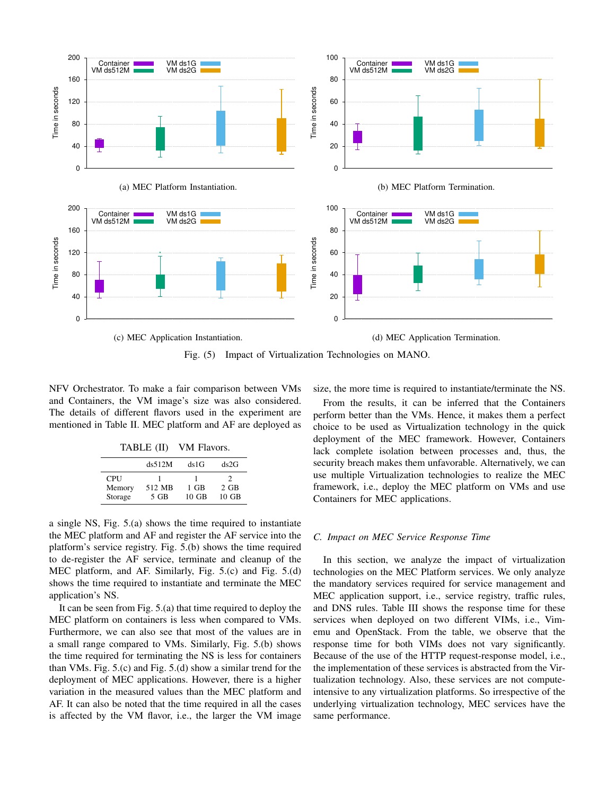

Fig. (5) Impact of Virtualization Technologies on MANO.

NFV Orchestrator. To make a fair comparison between VMs and Containers, the VM image's size was also considered. The details of different flavors used in the experiment are mentioned in Table II. MEC platform and AF are deployed as

| TABLE (II) | VM Flavors. |
|------------|-------------|
|------------|-------------|

|            | ds512M | ds 1 G          | ds2G            |
|------------|--------|-----------------|-----------------|
| <b>CPU</b> |        |                 |                 |
| Memory     | 512 MB | $1$ GB          | $2$ GB          |
| Storage    | $5$ GB | $10 \text{ GB}$ | $10 \text{ GB}$ |

a single NS, Fig. 5.(a) shows the time required to instantiate the MEC platform and AF and register the AF service into the platform's service registry. Fig. 5.(b) shows the time required to de-register the AF service, terminate and cleanup of the MEC platform, and AF. Similarly, Fig. 5.(c) and Fig. 5.(d) shows the time required to instantiate and terminate the MEC application's NS.

It can be seen from Fig. 5.(a) that time required to deploy the MEC platform on containers is less when compared to VMs. Furthermore, we can also see that most of the values are in a small range compared to VMs. Similarly, Fig. 5.(b) shows the time required for terminating the NS is less for containers than VMs. Fig. 5.(c) and Fig. 5.(d) show a similar trend for the deployment of MEC applications. However, there is a higher variation in the measured values than the MEC platform and AF. It can also be noted that the time required in all the cases is affected by the VM flavor, i.e., the larger the VM image size, the more time is required to instantiate/terminate the NS.

From the results, it can be inferred that the Containers perform better than the VMs. Hence, it makes them a perfect choice to be used as Virtualization technology in the quick deployment of the MEC framework. However, Containers lack complete isolation between processes and, thus, the security breach makes them unfavorable. Alternatively, we can use multiple Virtualization technologies to realize the MEC framework, i.e., deploy the MEC platform on VMs and use Containers for MEC applications.

#### *C. Impact on MEC Service Response Time*

In this section, we analyze the impact of virtualization technologies on the MEC Platform services. We only analyze the mandatory services required for service management and MEC application support, i.e., service registry, traffic rules, and DNS rules. Table III shows the response time for these services when deployed on two different VIMs, i.e., Vimemu and OpenStack. From the table, we observe that the response time for both VIMs does not vary significantly. Because of the use of the HTTP request-response model, i.e., the implementation of these services is abstracted from the Virtualization technology. Also, these services are not computeintensive to any virtualization platforms. So irrespective of the underlying virtualization technology, MEC services have the same performance.